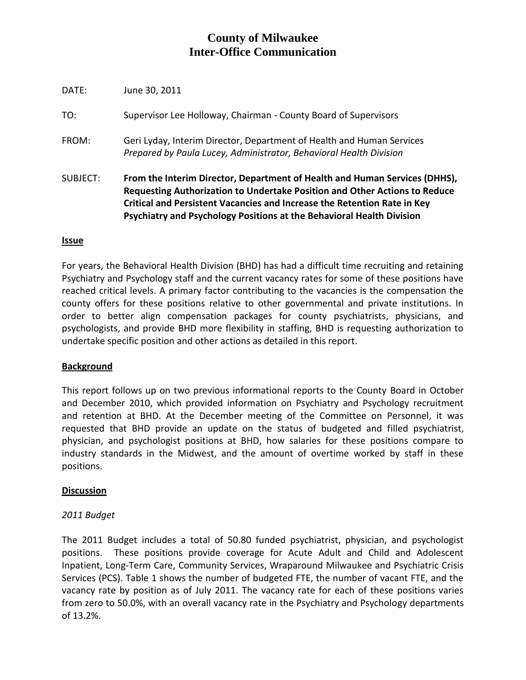# **County of Milwaukee Inter-Office Communication**

| <b>SUBJECT:</b> | From the Interim Director, Department of Health and Human Services (DHHS),<br>Requesting Authorization to Undertake Position and Other Actions to Reduce<br>Critical and Persistent Vacancies and Increase the Retention Rate in Key<br>Psychiatry and Psychology Positions at the Behavioral Health Division |
|-----------------|---------------------------------------------------------------------------------------------------------------------------------------------------------------------------------------------------------------------------------------------------------------------------------------------------------------|
| FROM:           | Geri Lyday, Interim Director, Department of Health and Human Services<br>Prepared by Paula Lucey, Administrator, Behavioral Health Division                                                                                                                                                                   |
| TO:             | Supervisor Lee Holloway, Chairman - County Board of Supervisors                                                                                                                                                                                                                                               |
| DATE:           | June 30, 2011                                                                                                                                                                                                                                                                                                 |

### **Issue**

For years, the Behavioral Health Division (BHD) has had a difficult time recruiting and retaining Psychiatry and Psychology staff and the current vacancy rates for some of these positions have reached critical levels. A primary factor contributing to the vacancies is the compensation the county offers for these positions relative to other governmental and private institutions. In order to better align compensation packages for county psychiatrists, physicians, and psychologists, and provide BHD more flexibility in staffing, BHD is requesting authorization to undertake specific position and other actions as detailed in this report.

# **Background**

This report follows up on two previous informational reports to the County Board in October and December 2010, which provided information on Psychiatry and Psychology recruitment and retention at BHD. At the December meeting of the Committee on Personnel, it was requested that BHD provide an update on the status of budgeted and filled psychiatrist, physician, and psychologist positions at BHD, how salaries for these positions compare to industry standards in the Midwest, and the amount of overtime worked by staff in these positions.

### **Discussion**

# *2011 Budget*

The 2011 Budget includes a total of 50.80 funded psychiatrist, physician, and psychologist positions. These positions provide coverage for Acute Adult and Child and Adolescent Inpatient, Long-Term Care, Community Services, Wraparound Milwaukee and Psychiatric Crisis Services (PCS). Table 1 shows the number of budgeted FTE, the number of vacant FTE, and the vacancy rate by position as of July 2011. The vacancy rate for each of these positions varies from zero to 50.0%, with an overall vacancy rate in the Psychiatry and Psychology departments of 13.2%.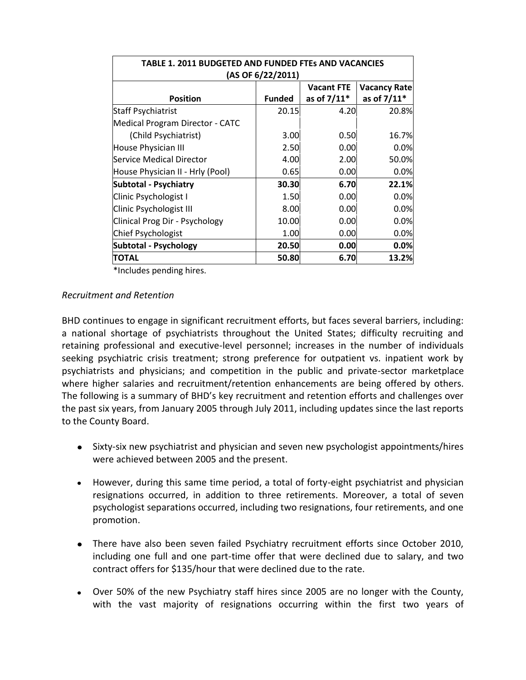| <b>TABLE 1. 2011 BUDGETED AND FUNDED FTES AND VACANCIES</b><br>(AS OF 6/22/2011) |               |             |             |  |  |  |  |  |  |  |
|----------------------------------------------------------------------------------|---------------|-------------|-------------|--|--|--|--|--|--|--|
| <b>Vacant FTE</b><br><b>Vacancy Rate</b>                                         |               |             |             |  |  |  |  |  |  |  |
| <b>Position</b>                                                                  | <b>Funded</b> | as of 7/11* | as of 7/11* |  |  |  |  |  |  |  |
| <b>Staff Psychiatrist</b>                                                        | 20.15         | 4.20        | 20.8%       |  |  |  |  |  |  |  |
| Medical Program Director - CATC                                                  |               |             |             |  |  |  |  |  |  |  |
| (Child Psychiatrist)                                                             | 3.00          | 0.50        | 16.7%       |  |  |  |  |  |  |  |
| House Physician III                                                              | 2.50          | 0.00        | 0.0%        |  |  |  |  |  |  |  |
| Service Medical Director                                                         | 4.00          | 2.00        | 50.0%       |  |  |  |  |  |  |  |
| House Physician II - Hrly (Pool)                                                 | 0.65          | 0.00        | 0.0%        |  |  |  |  |  |  |  |
| <b>Subtotal - Psychiatry</b>                                                     | 30.30         | 6.70        | 22.1%       |  |  |  |  |  |  |  |
| Clinic Psychologist I                                                            | 1.50          | 0.00        | 0.0%        |  |  |  |  |  |  |  |
| <b>Clinic Psychologist III</b>                                                   | 8.00          | 0.00        | 0.0%        |  |  |  |  |  |  |  |
| Clinical Prog Dir - Psychology                                                   | 10.00         | 0.00        | 0.0%        |  |  |  |  |  |  |  |
| Chief Psychologist                                                               | 1.00          | 0.00        | 0.0%        |  |  |  |  |  |  |  |
| Subtotal - Psychology                                                            | 20.50         | 0.00        | 0.0%        |  |  |  |  |  |  |  |
| <b>TOTAL</b>                                                                     | 50.80         | 6.70        | 13.2%       |  |  |  |  |  |  |  |

\*Includes pending hires.

### *Recruitment and Retention*

BHD continues to engage in significant recruitment efforts, but faces several barriers, including: a national shortage of psychiatrists throughout the United States; difficulty recruiting and retaining professional and executive-level personnel; increases in the number of individuals seeking psychiatric crisis treatment; strong preference for outpatient vs. inpatient work by psychiatrists and physicians; and competition in the public and private-sector marketplace where higher salaries and recruitment/retention enhancements are being offered by others. The following is a summary of BHD's key recruitment and retention efforts and challenges over the past six years, from January 2005 through July 2011, including updates since the last reports to the County Board.

- Sixty-six new psychiatrist and physician and seven new psychologist appointments/hires were achieved between 2005 and the present.
- However, during this same time period, a total of forty-eight psychiatrist and physician resignations occurred, in addition to three retirements. Moreover, a total of seven psychologist separations occurred, including two resignations, four retirements, and one promotion.
- There have also been seven failed Psychiatry recruitment efforts since October 2010, including one full and one part-time offer that were declined due to salary, and two contract offers for \$135/hour that were declined due to the rate.
- Over 50% of the new Psychiatry staff hires since 2005 are no longer with the County, with the vast majority of resignations occurring within the first two years of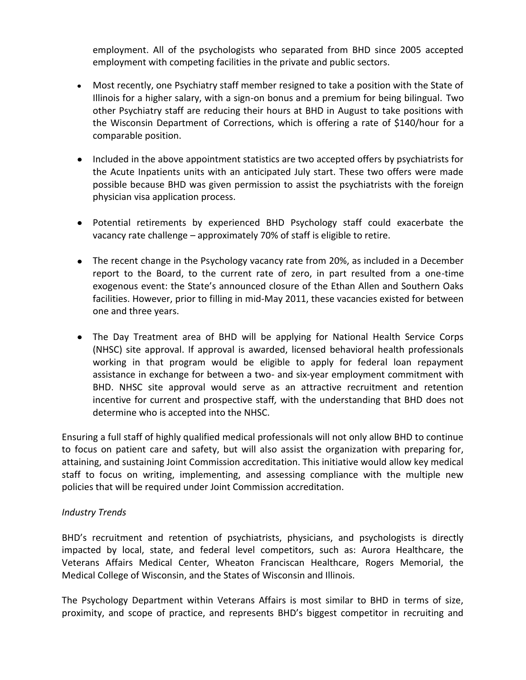employment. All of the psychologists who separated from BHD since 2005 accepted employment with competing facilities in the private and public sectors.

- Most recently, one Psychiatry staff member resigned to take a position with the State of Illinois for a higher salary, with a sign-on bonus and a premium for being bilingual. Two other Psychiatry staff are reducing their hours at BHD in August to take positions with the Wisconsin Department of Corrections, which is offering a rate of \$140/hour for a comparable position.
- Included in the above appointment statistics are two accepted offers by psychiatrists for the Acute Inpatients units with an anticipated July start. These two offers were made possible because BHD was given permission to assist the psychiatrists with the foreign physician visa application process.
- Potential retirements by experienced BHD Psychology staff could exacerbate the vacancy rate challenge – approximately 70% of staff is eligible to retire.
- The recent change in the Psychology vacancy rate from 20%, as included in a December report to the Board, to the current rate of zero, in part resulted from a one-time exogenous event: the State's announced closure of the Ethan Allen and Southern Oaks facilities. However, prior to filling in mid-May 2011, these vacancies existed for between one and three years.
- The Day Treatment area of BHD will be applying for National Health Service Corps (NHSC) site approval. If approval is awarded, licensed behavioral health professionals working in that program would be eligible to apply for federal loan repayment assistance in exchange for between a two- and six-year employment commitment with BHD. NHSC site approval would serve as an attractive recruitment and retention incentive for current and prospective staff*,* with the understanding that BHD does not determine who is accepted into the NHSC.

Ensuring a full staff of highly qualified medical professionals will not only allow BHD to continue to focus on patient care and safety, but will also assist the organization with preparing for, attaining, and sustaining Joint Commission accreditation. This initiative would allow key medical staff to focus on writing, implementing, and assessing compliance with the multiple new policies that will be required under Joint Commission accreditation.

# *Industry Trends*

BHD's recruitment and retention of psychiatrists, physicians, and psychologists is directly impacted by local, state, and federal level competitors, such as: Aurora Healthcare, the Veterans Affairs Medical Center, Wheaton Franciscan Healthcare, Rogers Memorial, the Medical College of Wisconsin, and the States of Wisconsin and Illinois.

The Psychology Department within Veterans Affairs is most similar to BHD in terms of size, proximity, and scope of practice, and represents BHD's biggest competitor in recruiting and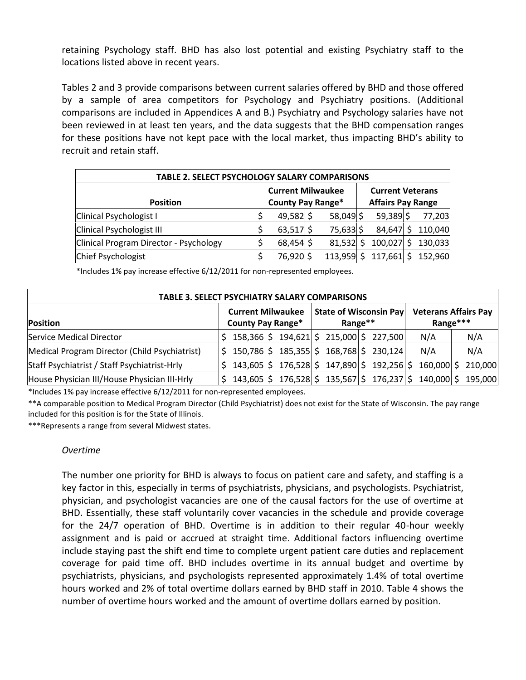retaining Psychology staff. BHD has also lost potential and existing Psychiatry staff to the locations listed above in recent years.

Tables 2 and 3 provide comparisons between current salaries offered by BHD and those offered by a sample of area competitors for Psychology and Psychiatry positions. (Additional comparisons are included in Appendices A and B.) Psychiatry and Psychology salaries have not been reviewed in at least ten years, and the data suggests that the BHD compensation ranges for these positions have not kept pace with the local market, thus impacting BHD's ability to recruit and retain staff.

| <b>TABLE 2. SELECT PSYCHOLOGY SALARY COMPARISONS</b> |  |                                                      |  |              |  |                                                     |  |         |  |  |  |  |
|------------------------------------------------------|--|------------------------------------------------------|--|--------------|--|-----------------------------------------------------|--|---------|--|--|--|--|
| <b>Position</b>                                      |  | <b>Current Milwaukee</b><br><b>County Pay Range*</b> |  |              |  | <b>Current Veterans</b><br><b>Affairs Pay Range</b> |  |         |  |  |  |  |
| Clinical Psychologist I                              |  | $49,582$ \$                                          |  | $58,049$ \$  |  | 59,389                                              |  | 77,203  |  |  |  |  |
| <b>Clinical Psychologist III</b>                     |  | $63,517$ \$                                          |  | 75,633 \$    |  | 84,647                                              |  | 110,040 |  |  |  |  |
| Clinical Program Director - Psychology               |  | 68,454 \$                                            |  | $81,532$ \$  |  | $100,027$ \$                                        |  | 130,033 |  |  |  |  |
| Chief Psychologist                                   |  | 76,920 \$                                            |  | $113,959$ \$ |  | $117,661$ \$                                        |  | 152,960 |  |  |  |  |

\*Includes 1% pay increase effective 6/12/2011 for non-represented employees.

| <b>TABLE 3. SELECT PSYCHIATRY SALARY COMPARISONS</b> |                                                      |              |  |                                           |  |                                   |  |                                         |  |                                                     |  |         |
|------------------------------------------------------|------------------------------------------------------|--------------|--|-------------------------------------------|--|-----------------------------------|--|-----------------------------------------|--|-----------------------------------------------------|--|---------|
| Position                                             | <b>Current Milwaukee</b><br><b>County Pay Range*</b> |              |  | <b>State of Wisconsin Payl</b><br>Range** |  |                                   |  | <b>Veterans Affairs Pay</b><br>Range*** |  |                                                     |  |         |
| Service Medical Director                             |                                                      | 158,366 \$   |  | 194,621 \$215,000 \$227,500               |  |                                   |  |                                         |  | N/A                                                 |  | N/A     |
| Medical Program Director (Child Psychiatrist)        |                                                      | 150,786 \$   |  |                                           |  | $185,355$ \$ $168,768$ \$ 230,124 |  |                                         |  | N/A                                                 |  | N/A     |
| Staff Psychiatrist / Staff Psychiatrist-Hrly         |                                                      | 143,605 \$   |  |                                           |  |                                   |  |                                         |  | $176,528$ \$ $147,890$ \$ $192,256$ \$ $160,000$ \$ |  | 210,000 |
| House Physician III/House Physician III-Hrly         |                                                      | $143,605$ \$ |  |                                           |  |                                   |  |                                         |  | $176,528$  \$135,567 \$176,237 \$140,000 \$         |  | 195,000 |

\*Includes 1% pay increase effective 6/12/2011 for non-represented employees.

\*\*A comparable position to Medical Program Director (Child Psychiatrist) does not exist for the State of Wisconsin. The pay range included for this position is for the State of Illinois.

\*\*\*Represents a range from several Midwest states.

#### *Overtime*

The number one priority for BHD is always to focus on patient care and safety, and staffing is a key factor in this, especially in terms of psychiatrists, physicians, and psychologists. Psychiatrist, physician, and psychologist vacancies are one of the causal factors for the use of overtime at BHD. Essentially, these staff voluntarily cover vacancies in the schedule and provide coverage for the 24/7 operation of BHD. Overtime is in addition to their regular 40-hour weekly assignment and is paid or accrued at straight time. Additional factors influencing overtime include staying past the shift end time to complete urgent patient care duties and replacement coverage for paid time off. BHD includes overtime in its annual budget and overtime by psychiatrists, physicians, and psychologists represented approximately 1.4% of total overtime hours worked and 2% of total overtime dollars earned by BHD staff in 2010. Table 4 shows the number of overtime hours worked and the amount of overtime dollars earned by position.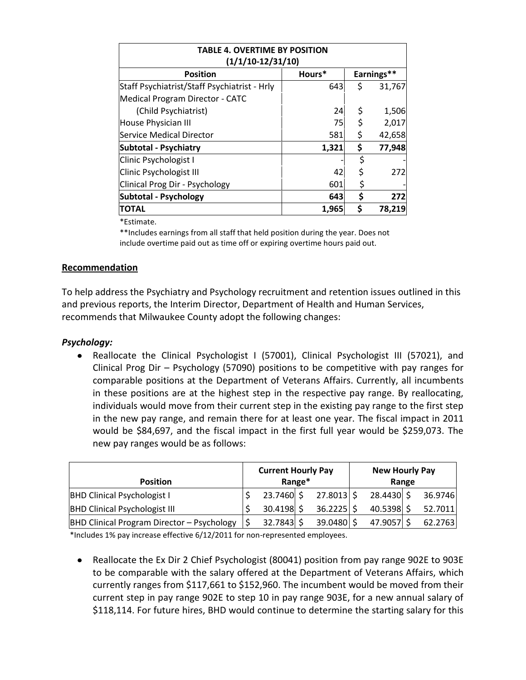| <b>TABLE 4. OVERTIME BY POSITION</b><br>$(1/1/10-12/31/10)$ |       |    |        |  |  |  |  |  |  |  |
|-------------------------------------------------------------|-------|----|--------|--|--|--|--|--|--|--|
| Earnings**<br>Hours*<br><b>Position</b>                     |       |    |        |  |  |  |  |  |  |  |
| Staff Psychiatrist/Staff Psychiatrist - Hrly                | 643   | \$ | 31,767 |  |  |  |  |  |  |  |
| Medical Program Director - CATC                             |       |    |        |  |  |  |  |  |  |  |
| (Child Psychiatrist)                                        | 24    | \$ | 1,506  |  |  |  |  |  |  |  |
| House Physician III                                         | 75    | \$ | 2,017  |  |  |  |  |  |  |  |
| Service Medical Director                                    | 581   | \$ | 42,658 |  |  |  |  |  |  |  |
| <b>Subtotal - Psychiatry</b>                                | 1,321 | \$ | 77,948 |  |  |  |  |  |  |  |
| Clinic Psychologist I                                       |       | \$ |        |  |  |  |  |  |  |  |
| Clinic Psychologist III                                     | 42    | \$ | 272    |  |  |  |  |  |  |  |
| Clinical Prog Dir - Psychology                              | 601   | \$ |        |  |  |  |  |  |  |  |
| Subtotal - Psychology                                       | 643   | \$ | 272    |  |  |  |  |  |  |  |
| <b>TOTAL</b>                                                | 1,965 | \$ | 78,219 |  |  |  |  |  |  |  |

\*Estimate.

\*\*Includes earnings from all staff that held position during the year. Does not include overtime paid out as time off or expiring overtime hours paid out.

### **Recommendation**

To help address the Psychiatry and Psychology recruitment and retention issues outlined in this and previous reports, the Interim Director, Department of Health and Human Services, recommends that Milwaukee County adopt the following changes:

### *Psychology:*

• Reallocate the Clinical Psychologist I (57001), Clinical Psychologist III (57021), and Clinical Prog Dir – Psychology (57090) positions to be competitive with pay ranges for comparable positions at the Department of Veterans Affairs. Currently, all incumbents in these positions are at the highest step in the respective pay range. By reallocating, individuals would move from their current step in the existing pay range to the first step in the new pay range, and remain there for at least one year. The fiscal impact in 2011 would be \$84,697, and the fiscal impact in the first full year would be \$259,073. The new pay ranges would be as follows:

| <b>Position</b>                            | <b>Current Hourly Pay</b><br>Range* |  |              |  | <b>New Hourly Pay</b><br>Range |         |
|--------------------------------------------|-------------------------------------|--|--------------|--|--------------------------------|---------|
| <b>BHD Clinical Psychologist I</b>         | 23.7460 \$                          |  | $27.8013$ \$ |  | 28.4430 \$                     | 36.9746 |
| <b>BHD Clinical Psychologist III</b>       | $30.4198$ \$                        |  | $36.2225$ \$ |  | $40.5398$ \$                   | 52.7011 |
| BHD Clinical Program Director - Psychology | 32.7843 \$                          |  | 39.0480 \$   |  | 47.9057                        | 62.2763 |

\*Includes 1% pay increase effective 6/12/2011 for non-represented employees.

• Reallocate the Ex Dir 2 Chief Psychologist (80041) position from pay range 902E to 903E to be comparable with the salary offered at the Department of Veterans Affairs, which currently ranges from \$117,661 to \$152,960. The incumbent would be moved from their current step in pay range 902E to step 10 in pay range 903E, for a new annual salary of \$118,114. For future hires, BHD would continue to determine the starting salary for this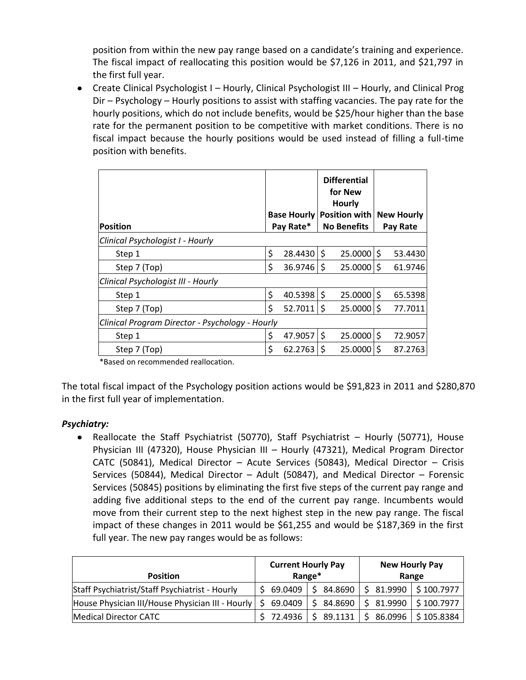position from within the new pay range based on a candidate's training and experience. The fiscal impact of reallocating this position would be \$7,126 in 2011, and \$21,797 in the first full year.

Create Clinical Psychologist I – Hourly, Clinical Psychologist III – Hourly, and Clinical Prog Dir – Psychology – Hourly positions to assist with staffing vacancies. The pay rate for the hourly positions, which do not include benefits, would be \$25/hour higher than the base rate for the permanent position to be competitive with market conditions. There is no fiscal impact because the hourly positions would be used instead of filling a full-time position with benefits.

| Position                                        |    | <b>Base Hourly</b><br>Pay Rate* |    | <b>Differential</b><br>for New<br><b>Hourly</b><br>Position with<br><b>No Benefits</b> | <b>New Hourly</b><br>Pay Rate |
|-------------------------------------------------|----|---------------------------------|----|----------------------------------------------------------------------------------------|-------------------------------|
| Clinical Psychologist I - Hourly                |    |                                 |    |                                                                                        |                               |
| Step 1                                          | \$ | 28.4430                         | \$ | $25.0000$ \$                                                                           | 53.4430                       |
| Step 7 (Top)                                    | \$ | 36.9746                         | \$ | $25.0000$ \$                                                                           | 61.9746                       |
| Clinical Psychologist III - Hourly              |    |                                 |    |                                                                                        |                               |
| Step 1                                          | \$ | 40.5398                         | \$ | $25.0000$ \$                                                                           | 65.5398                       |
| Step 7 (Top)                                    | Ś  | 52.7011                         | Ŝ. | $25.0000$ \$                                                                           | 77.7011                       |
| Clinical Program Director - Psychology - Hourly |    |                                 |    |                                                                                        |                               |
| Step 1                                          | \$ | 47.9057                         | \$ | $25.0000$ \$                                                                           | 72.9057                       |
| Step 7 (Top)                                    | Ś  | 62.2763                         | Ś  | $25.0000$ \$                                                                           | 87.2763                       |

\*Based on recommended reallocation.

The total fiscal impact of the Psychology position actions would be \$91,823 in 2011 and \$280,870 in the first full year of implementation.

# *Psychiatry:*

Reallocate the Staff Psychiatrist (50770), Staff Psychiatrist – Hourly (50771), House Physician III (47320), House Physician III – Hourly (47321), Medical Program Director CATC (50841), Medical Director – Acute Services (50843), Medical Director – Crisis Services (50844), Medical Director – Adult (50847), and Medical Director – Forensic Services (50845) positions by eliminating the first five steps of the current pay range and adding five additional steps to the end of the current pay range. Incumbents would move from their current step to the next highest step in the new pay range. The fiscal impact of these changes in 2011 would be \$61,255 and would be \$187,369 in the first full year. The new pay ranges would be as follows:

| <b>Position</b>                                  |               | <b>Current Hourly Pay</b><br>Range* | <b>New Hourly Pay</b><br>Range    |  |  |  |
|--------------------------------------------------|---------------|-------------------------------------|-----------------------------------|--|--|--|
| Staff Psychiatrist/Staff Psychiatrist - Hourly   | \$69.0409     |                                     | $$84.8690$ $$81.9990$ $$100.7977$ |  |  |  |
| House Physician III/House Physician III - Hourly | \$<br>69.0409 | \$84.8690                           | $$31.9990 \mid $100.7977$         |  |  |  |
| Medical Director CATC                            | 72.4936       |                                     | $$89.1131$ $$86.0996$ $$105.8384$ |  |  |  |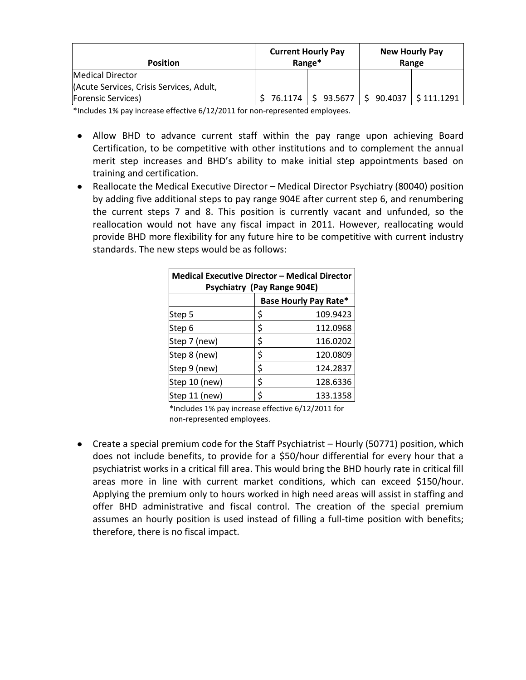| <b>Position</b>                          | <b>Current Hourly Pay</b> | Range*  | <b>New Hourly Pay</b><br>Range |
|------------------------------------------|---------------------------|---------|--------------------------------|
| <b>Medical Director</b>                  |                           |         |                                |
| (Acute Services, Crisis Services, Adult, |                           |         |                                |
| <b>Forensic Services</b> )               | 76.1174                   | 93.5677 | $90.4037$   \$111.1291         |

\*Includes 1% pay increase effective 6/12/2011 for non-represented employees.

- Allow BHD to advance current staff within the pay range upon achieving Board Certification, to be competitive with other institutions and to complement the annual merit step increases and BHD's ability to make initial step appointments based on training and certification.
- Reallocate the Medical Executive Director Medical Director Psychiatry (80040) position by adding five additional steps to pay range 904E after current step 6, and renumbering the current steps 7 and 8. This position is currently vacant and unfunded, so the reallocation would not have any fiscal impact in 2011. However, reallocating would provide BHD more flexibility for any future hire to be competitive with current industry standards. The new steps would be as follows:

| <b>Medical Executive Director - Medical Director</b><br>Psychiatry (Pay Range 904E) |    |          |  |  |  |  |  |  |
|-------------------------------------------------------------------------------------|----|----------|--|--|--|--|--|--|
| <b>Base Hourly Pay Rate*</b>                                                        |    |          |  |  |  |  |  |  |
| Step 5                                                                              | \$ | 109.9423 |  |  |  |  |  |  |
| Step 6                                                                              | \$ | 112.0968 |  |  |  |  |  |  |
| Step 7 (new)                                                                        | \$ | 116.0202 |  |  |  |  |  |  |
| Step 8 (new)                                                                        | \$ | 120.0809 |  |  |  |  |  |  |
| Step 9 (new)                                                                        | \$ | 124.2837 |  |  |  |  |  |  |
| Step 10 (new)                                                                       | \$ | 128.6336 |  |  |  |  |  |  |
| Step 11 (new)                                                                       | ς  | 133.1358 |  |  |  |  |  |  |

\*Includes 1% pay increase effective 6/12/2011 for non-represented employees.

Create a special premium code for the Staff Psychiatrist – Hourly (50771) position, which does not include benefits, to provide for a \$50/hour differential for every hour that a psychiatrist works in a critical fill area. This would bring the BHD hourly rate in critical fill areas more in line with current market conditions, which can exceed \$150/hour. Applying the premium only to hours worked in high need areas will assist in staffing and offer BHD administrative and fiscal control. The creation of the special premium assumes an hourly position is used instead of filling a full-time position with benefits; therefore, there is no fiscal impact.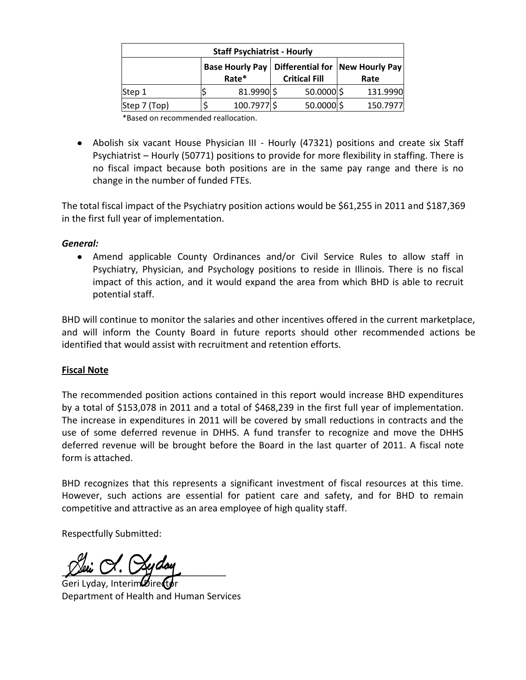| <b>Staff Psychiatrist - Hourly</b> |                                           |             |  |            |  |          |  |  |  |  |
|------------------------------------|-------------------------------------------|-------------|--|------------|--|----------|--|--|--|--|
|                                    | Differential for   New Hourly Pay<br>Rate |             |  |            |  |          |  |  |  |  |
| Step 1                             |                                           | 81.9990 \$  |  | 50.0000 \$ |  | 131.9990 |  |  |  |  |
| Step 7 (Top)                       |                                           | 100.7977 \$ |  | 50.0000 \$ |  | 150.7977 |  |  |  |  |
|                                    |                                           |             |  |            |  |          |  |  |  |  |

\*Based on recommended reallocation.

• Abolish six vacant House Physician III - Hourly (47321) positions and create six Staff Psychiatrist – Hourly (50771) positions to provide for more flexibility in staffing. There is no fiscal impact because both positions are in the same pay range and there is no change in the number of funded FTEs.

The total fiscal impact of the Psychiatry position actions would be \$61,255 in 2011 and \$187,369 in the first full year of implementation.

### *General:*

Amend applicable County Ordinances and/or Civil Service Rules to allow staff in Psychiatry, Physician, and Psychology positions to reside in Illinois. There is no fiscal impact of this action, and it would expand the area from which BHD is able to recruit potential staff.

BHD will continue to monitor the salaries and other incentives offered in the current marketplace, and will inform the County Board in future reports should other recommended actions be identified that would assist with recruitment and retention efforts.

# **Fiscal Note**

The recommended position actions contained in this report would increase BHD expenditures by a total of \$153,078 in 2011 and a total of \$468,239 in the first full year of implementation. The increase in expenditures in 2011 will be covered by small reductions in contracts and the use of some deferred revenue in DHHS. A fund transfer to recognize and move the DHHS deferred revenue will be brought before the Board in the last quarter of 2011. A fiscal note form is attached.

BHD recognizes that this represents a significant investment of fiscal resources at this time. However, such actions are essential for patient care and safety, and for BHD to remain competitive and attractive as an area employee of high quality staff.

Respectfully Submitted:

 $\chi$  in  $\cup$ .  $\cup$  gives

Geri Lyday, Interim<sup>o</sup>Direct Department of Health and Human Services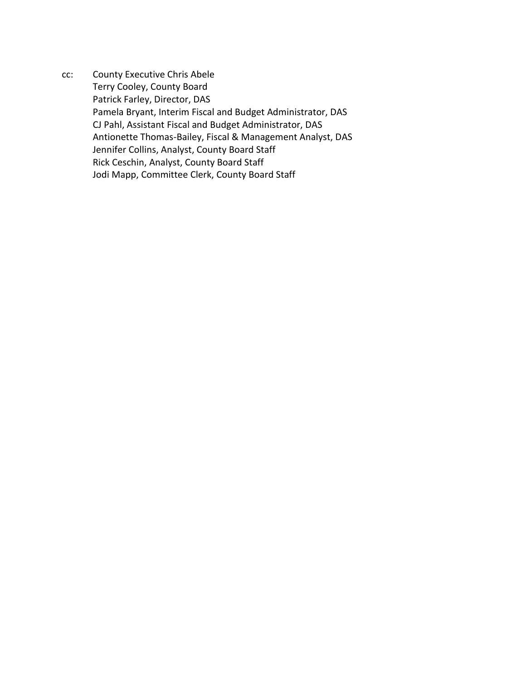cc: County Executive Chris Abele Terry Cooley, County Board Patrick Farley, Director, DAS Pamela Bryant, Interim Fiscal and Budget Administrator, DAS CJ Pahl, Assistant Fiscal and Budget Administrator, DAS Antionette Thomas-Bailey, Fiscal & Management Analyst, DAS Jennifer Collins, Analyst, County Board Staff Rick Ceschin, Analyst, County Board Staff Jodi Mapp, Committee Clerk, County Board Staff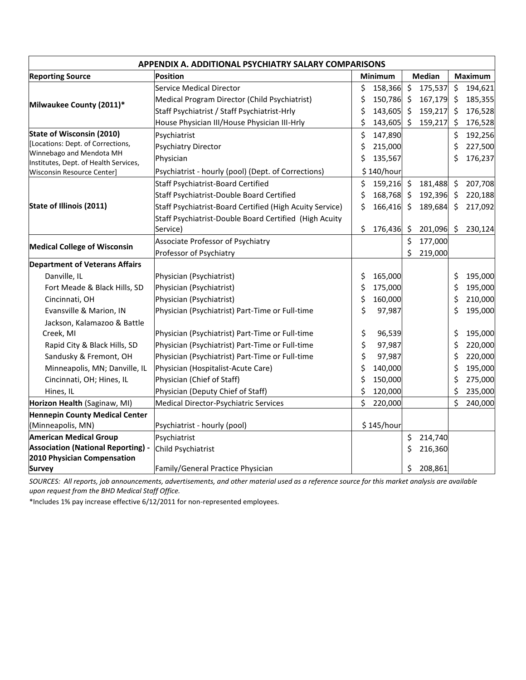| APPENDIX A. ADDITIONAL PSYCHIATRY SALARY COMPARISONS              |                                                          |                  |                                |                    |  |  |  |  |  |  |
|-------------------------------------------------------------------|----------------------------------------------------------|------------------|--------------------------------|--------------------|--|--|--|--|--|--|
| <b>Reporting Source</b>                                           | <b>Position</b>                                          | Minimum          | <b>Median</b>                  | Maximum            |  |  |  |  |  |  |
|                                                                   | <b>Service Medical Director</b>                          | \$<br>158,366    | $\zeta$<br>175,537             | \$<br>194,621      |  |  |  |  |  |  |
| Milwaukee County (2011)*                                          | Medical Program Director (Child Psychiatrist)            | \$<br>150,786 \$ | 167,179                        | \$<br>185,355      |  |  |  |  |  |  |
|                                                                   | Staff Psychiatrist / Staff Psychiatrist-Hrly             | \$<br>143,605    | 159,217<br>\$                  | 176,528<br>\$      |  |  |  |  |  |  |
|                                                                   | House Physician III/House Physician III-Hrly             | \$<br>143,605    | \$<br>159,217                  | \$<br>176,528      |  |  |  |  |  |  |
| <b>State of Wisconsin (2010)</b>                                  | Psychiatrist                                             | \$<br>147,890    |                                | \$<br>192,256      |  |  |  |  |  |  |
| [Locations: Dept. of Corrections,                                 | <b>Psychiatry Director</b>                               | \$<br>215,000    |                                | \$<br>227,500      |  |  |  |  |  |  |
| Winnebago and Mendota MH<br>Institutes, Dept. of Health Services, | Physician                                                | \$<br>135,567    |                                | \$<br>176,237      |  |  |  |  |  |  |
| Wisconsin Resource Center]                                        | Psychiatrist - hourly (pool) (Dept. of Corrections)      | \$140/hour       |                                |                    |  |  |  |  |  |  |
|                                                                   | <b>Staff Psychiatrist-Board Certified</b>                | \$<br>159,216    | $\zeta$<br>181,488             | \$<br>207,708      |  |  |  |  |  |  |
|                                                                   | Staff Psychiatrist-Double Board Certified                | \$<br>168,768    | 192,396<br>$\ddot{\mathsf{S}}$ | 220,188<br>$\zeta$ |  |  |  |  |  |  |
| <b>State of Illinois (2011)</b>                                   | Staff Psychiatrist-Board Certified (High Acuity Service) | \$<br>166,416    | 189,684<br>\$                  | 217,092<br>\$      |  |  |  |  |  |  |
|                                                                   | Staff Psychiatrist-Double Board Certified (High Acuity   |                  |                                |                    |  |  |  |  |  |  |
|                                                                   | Service)                                                 | \$<br>176,436    | \$<br>201,096                  | 230,124<br>\$      |  |  |  |  |  |  |
|                                                                   | Associate Professor of Psychiatry                        |                  | \$<br>177,000                  |                    |  |  |  |  |  |  |
| <b>Medical College of Wisconsin</b>                               | Professor of Psychiatry                                  |                  | \$<br>219,000                  |                    |  |  |  |  |  |  |
| <b>Department of Veterans Affairs</b>                             |                                                          |                  |                                |                    |  |  |  |  |  |  |
| Danville, IL                                                      | Physician (Psychiatrist)                                 | \$<br>165,000    |                                | 195,000<br>\$      |  |  |  |  |  |  |
| Fort Meade & Black Hills, SD                                      | Physician (Psychiatrist)                                 | \$<br>175,000    |                                | \$<br>195,000      |  |  |  |  |  |  |
| Cincinnati, OH                                                    | Physician (Psychiatrist)                                 | \$<br>160,000    |                                | \$<br>210,000      |  |  |  |  |  |  |
| Evansville & Marion, IN                                           | Physician (Psychiatrist) Part-Time or Full-time          | \$<br>97,987     |                                | \$<br>195,000      |  |  |  |  |  |  |
| Jackson, Kalamazoo & Battle                                       |                                                          |                  |                                |                    |  |  |  |  |  |  |
| Creek, MI                                                         | Physician (Psychiatrist) Part-Time or Full-time          | \$<br>96,539     |                                | \$<br>195,000      |  |  |  |  |  |  |
| Rapid City & Black Hills, SD                                      | Physician (Psychiatrist) Part-Time or Full-time          | \$<br>97,987     |                                | \$<br>220,000      |  |  |  |  |  |  |
| Sandusky & Fremont, OH                                            | Physician (Psychiatrist) Part-Time or Full-time          | \$<br>97,987     |                                | \$<br>220,000      |  |  |  |  |  |  |
| Minneapolis, MN; Danville, IL                                     | Physician (Hospitalist-Acute Care)                       | \$<br>140,000    |                                | \$<br>195,000      |  |  |  |  |  |  |
| Cincinnati, OH; Hines, IL                                         | Physician (Chief of Staff)                               | \$<br>150,000    |                                | \$<br>275,000      |  |  |  |  |  |  |
| Hines, IL                                                         | Physician (Deputy Chief of Staff)                        | \$<br>120,000    |                                | \$<br>235,000      |  |  |  |  |  |  |
| Horizon Health (Saginaw, MI)                                      | Medical Director-Psychiatric Services                    | \$<br>220,000    |                                | \$<br>240,000      |  |  |  |  |  |  |
| Hennepin County Medical Center                                    |                                                          |                  |                                |                    |  |  |  |  |  |  |
| (Minneapolis, MN)                                                 | Psychiatrist - hourly (pool)                             | \$145/hour       |                                |                    |  |  |  |  |  |  |
| <b>American Medical Group</b>                                     | Psychiatrist                                             |                  | \$<br>214,740                  |                    |  |  |  |  |  |  |
| <b>Association (National Reporting) -</b>                         | Child Psychiatrist                                       |                  | \$<br>216,360                  |                    |  |  |  |  |  |  |
| 2010 Physician Compensation                                       |                                                          |                  |                                |                    |  |  |  |  |  |  |
| <b>Survey</b>                                                     | Family/General Practice Physician                        |                  | \$<br>208,861                  |                    |  |  |  |  |  |  |

*SOURCES: All reports, job announcements, advertisements, and other material used as a reference source for this market analysis are available upon request from the BHD Medical Staff Office.*

\*Includes 1% pay increase effective 6/12/2011 for non-represented employees.